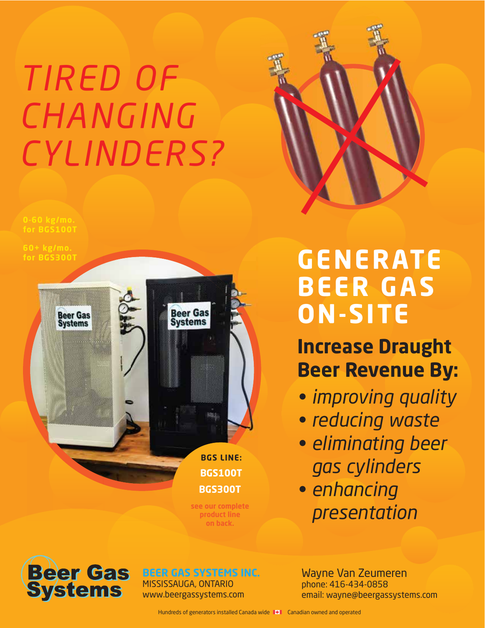# *TIRED OF CHANGING CYLINDERS?*

**for BGS300T**



**see our complete product line on back.**

## **GENERATE BEER GAS ON-SITE**

**Increase Draught Beer Revenue By:**

- *• improving quality*
- *• reducing waste*
- *• eliminating beer gas cylinders*
- *• enhancing presentation*



**BEER GAS SYSTEMS INC.** MISSISSAUGA, ONTARIO www.beergassystems.com

Wayne Van Zeumeren phone: 416-434-0858 email: wayne@beergassystems.com